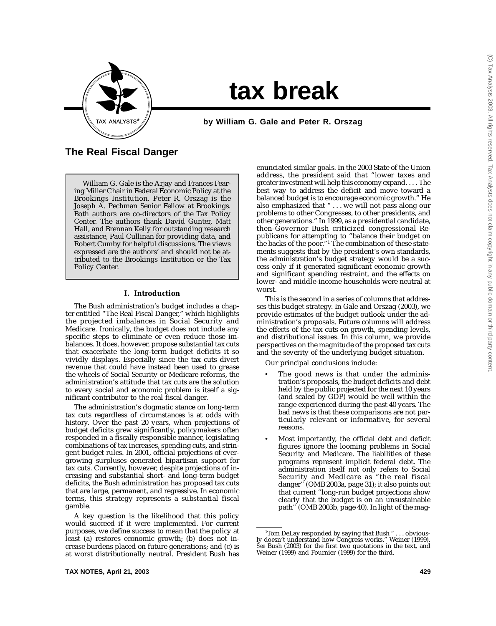

# **tax break**

by William G. Gale and Peter R. Orszag

# **The Real Fiscal Danger**

William G. Gale is the Arjay and Frances Fearing Miller Chair in Federal Economic Policy at the Brookings Institution. Peter R. Orszag is the Joseph A. Pechman Senior Fellow at Brookings. Both authors are co-directors of the Tax Policy Center. The authors thank David Gunter, Matt Hall, and Brennan Kelly for outstanding research assistance, Paul Cullinan for providing data, and Robert Cumby for helpful discussions. The views expressed are the authors' and should not be attributed to the Brookings Institution or the Tax Policy Center.

#### **I. Introduction**

The Bush administration's budget includes a chapter entitled "The Real Fiscal Danger," which highlights the projected imbalances in Social Security and Medicare. Ironically, the budget does not include any specific steps to eliminate or even reduce those imbalances. It does, however, propose substantial tax cuts that exacerbate the long-term budget deficits it so vividly displays. Especially since the tax cuts divert revenue that could have instead been used to grease the wheels of Social Security or Medicare reforms, the administration's attitude that tax cuts are the solution to every social and economic problem is itself a significant contributor to the real fiscal danger.

The administration's dogmatic stance on long-term tax cuts regardless of circumstances is at odds with history. Over the past 20 years, when projections of budget deficits grew significantly, policymakers often responded in a fiscally responsible manner, legislating combinations of tax increases, spending cuts, and stringent budget rules. In 2001, official projections of evergrowing surpluses generated bipartisan support for tax cuts. Currently, however, despite projections of increasing and substantial short- and long-term budget deficits, the Bush administration has proposed tax cuts that are large, permanent, and regressive. In economic terms, this strategy represents a substantial fiscal gamble.

A key question is the likelihood that this policy would succeed if it were implemented. For current purposes, we define success to mean that the policy at least (a) restores economic growth; (b) does not increase burdens placed on future generations; and (c) is at worst distributionally neutral. President Bush has

enunciated similar goals. In the 2003 State of the Union address, the president said that "lower taxes and greater investment will help this economy expand. . . . The best way to address the deficit and move toward a balanced budget is to encourage economic growth." He also emphasized that " . . . we will not pass along our problems to other Congresses, to other presidents, and other generations." In 1999, as a presidential candidate, then-Governor Bush criticized congressional Republicans for attempting to "balance their budget on the backs of the poor."<sup>1</sup> The combination of these statements suggests that by the president's own standards, the administration's budget strategy would be a success only if it generated significant economic growth and significant spending restraint, and the effects on lower- and middle-income households were neutral at worst.

This is the second in a series of columns that addresses this budget strategy. In Gale and Orszag (2003), we provide estimates of the budget outlook under the administration's proposals. Future columns will address the effects of the tax cuts on growth, spending levels, and distributional issues. In this column, we provide perspectives on the magnitude of the proposed tax cuts and the severity of the underlying budget situation.

Our principal conclusions include:

- The good news is that under the administration's proposals, the budget deficits and debt held by the public projected for the next 10 years (and scaled by GDP) would be well within the range experienced during the past 40 years. The bad news is that these comparisons are not particularly relevant or informative, for several reasons.
- Most importantly, the official debt and deficit figures ignore the looming problems in Social Security and Medicare. The liabilities of these programs represent implicit federal debt. The administration itself not only refers to Social Security and Medicare as "the real fiscal danger" (OMB 2003a, page 31); it also points out that current "long-run budget projections show clearly that the budget is on an unsustainable path" (OMB 2003b, page 40). In light of the mag-

<sup>1</sup> Tom DeLay responded by saying that Bush " . . . obviously doesn't understand how Congress works." Weiner (1999). *See* Bush (2003) for the first two quotations in the text, and Weiner (1999) and Fournier (1999) for the third.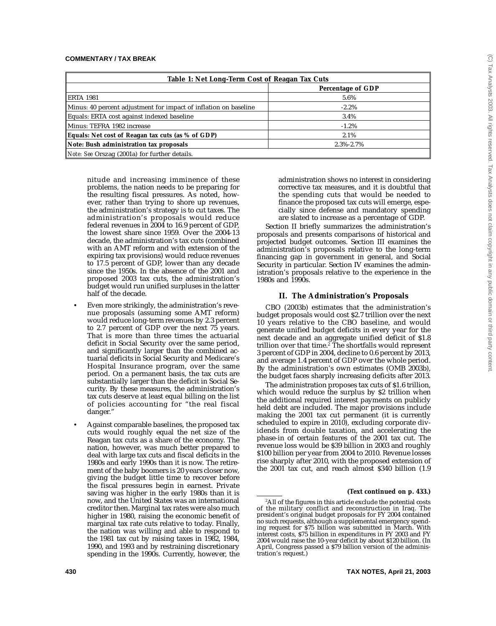| Table 1: Net Long-Term Cost of Reagan Tax Cuts                   |                   |  |
|------------------------------------------------------------------|-------------------|--|
|                                                                  | Percentage of GDP |  |
| ERTA 1981                                                        | 5.6%              |  |
| Minus: 40 percent adjustment for impact of inflation on baseline | $-2.2\%$          |  |
| Equals: ERTA cost against indexed baseline                       | 3.4%              |  |
| Minus: TEFRA 1982 increase                                       | $-1.2\%$          |  |
| Equals: Net cost of Reagan tax cuts (as % of GDP)                | 2.1%              |  |
| Note: Bush administration tax proposals                          | $2.3\% - 2.7\%$   |  |
| Note: See Orszag (2001a) for further details.                    |                   |  |

nitude and increasing imminence of these problems, the nation needs to be preparing for the resulting fiscal pressures. As noted, however, rather than trying to shore up revenues, the administration's strategy is to cut taxes. The administration's proposals would reduce federal revenues in 2004 to 16.9 percent of GDP, the lowest share since 1959. Over the 2004-13 decade, the administration's tax cuts (combined with an AMT reform and with extension of the expiring tax provisions) would reduce revenues to 17.5 percent of GDP, lower than any decade since the 1950s. In the absence of the 2001 and proposed 2003 tax cuts, the administration's budget would run unified surpluses in the latter half of the decade.

- Even more strikingly, the administration's revenue proposals (assuming some AMT reform) would reduce long-term revenues by 2.3 percent to 2.7 percent of GDP over the next 75 years. That is more than three times the actuarial deficit in Social Security over the same period, and significantly larger than the combined actuarial deficits in Social Security and Medicare's Hospital Insurance program, over the same period. On a permanent basis, the tax cuts are substantially larger than the deficit in Social Security. By these measures, the administration's tax cuts deserve at least equal billing on the list of policies accounting for "the real fiscal danger."
- Against comparable baselines, the proposed tax cuts would roughly equal the net size of the Reagan tax cuts as a share of the economy. The nation, however, was much better prepared to deal with large tax cuts and fiscal deficits in the 1980s and early 1990s than it is now. The retirement of the baby boomers is 20 years closer now, giving the budget little time to recover before the fiscal pressures begin in earnest. Private saving was higher in the early 1980s than it is now, and the United States was an international creditor then. Marginal tax rates were also much higher in 1980, raising the economic benefit of marginal tax rate cuts relative to today. Finally, the nation was willing and able to respond to the 1981 tax cut by raising taxes in 1982, 1984, 1990, and 1993 and by restraining discretionary spending in the 1990s. Currently, however, the

administration shows no interest in considering corrective tax measures, and it is doubtful that the spending cuts that would be needed to finance the proposed tax cuts will emerge, especially since defense and mandatory spending are slated to increase as a percentage of GDP.

Section II briefly summarizes the administration's proposals and presents comparisons of historical and projected budget outcomes. Section III examines the administration's proposals relative to the long-term financing gap in government in general, and Social Security in particular. Section IV examines the administration's proposals relative to the experience in the 1980s and 1990s.

### **II. The Administration's Proposals**

CBO (2003b) estimates that the administration's budget proposals would cost \$2.7 trillion over the next 10 years relative to the CBO baseline, and would generate unified budget deficits in every year for the next decade and an aggregate unified deficit of \$1.8 trillion over that time.2 The shortfalls would represent 3 percent of GDP in 2004, decline to 0.6 percent by 2013, and average 1.4 percent of GDP over the whole period. By the administration's own estimates (OMB 2003b), the budget faces sharply increasing deficits after 2013.

The administration proposes tax cuts of \$1.6 trillion, which would reduce the surplus by \$2 trillion when the additional required interest payments on publicly held debt are included. The major provisions include making the 2001 tax cut permanent (it is currently scheduled to expire in 2010), excluding corporate dividends from double taxation, and accelerating the phase-in of certain features of the 2001 tax cut. The revenue loss would be \$39 billion in 2003 and roughly \$100 billion per year from 2004 to 2010. Revenue losses rise sharply after 2010, with the proposed extension of the 2001 tax cut, and reach almost \$340 billion (1.9

#### **(Text continued on p. 433.)**

 $^{\rm 2}$ All of the figures in this article exclude the potential costs of the military conflict and reconstruction in Iraq. The president's original budget proposals for FY 2004 contained no such requests, although a supplemental emergency spending request for \$75 billion was submitted in March. With interest costs, \$75 billion in expenditures in FY 2003 and FY 2004 would raise the 10-year deficit by about \$120 billion. (In April, Congress passed a \$79 billion version of the administration's request.)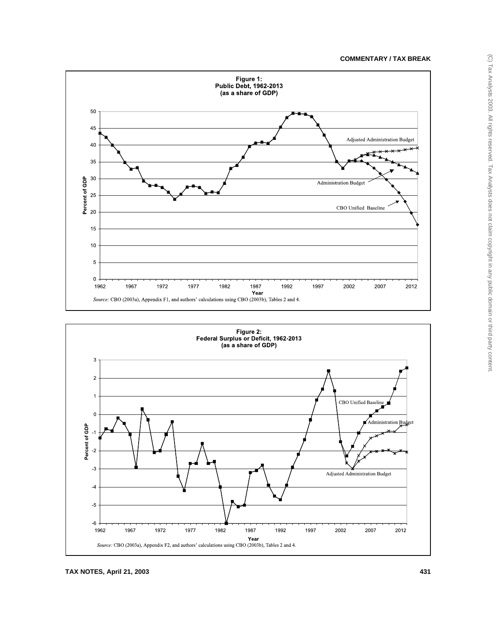



**TAX NOTES, April 21, 2003 431**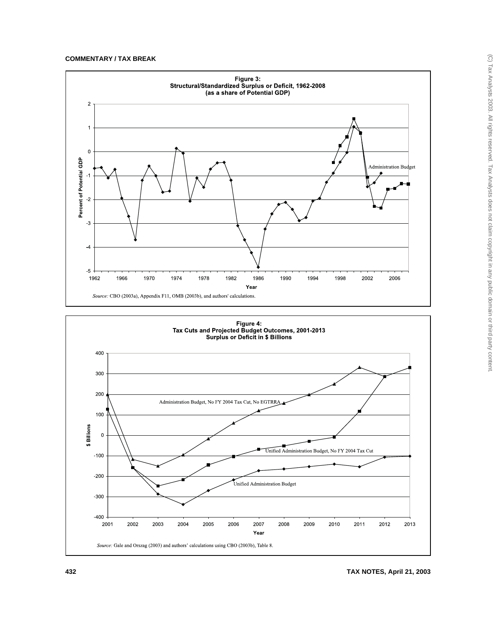

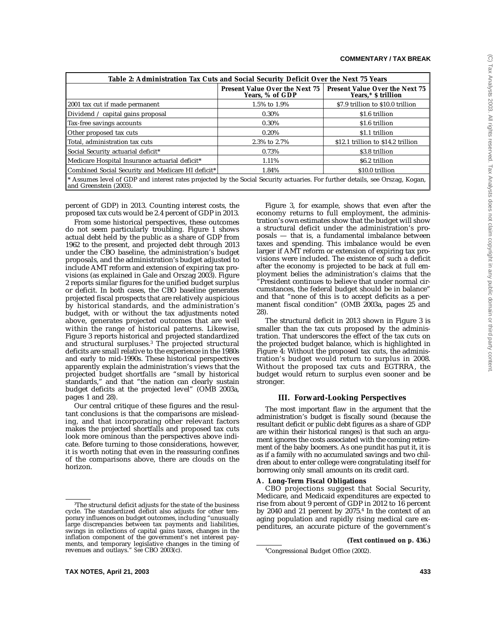| Table 2: Administration Tax Cuts and Social Security Deficit Over the Next 75 Years                                                                     |                                                          |                                                              |
|---------------------------------------------------------------------------------------------------------------------------------------------------------|----------------------------------------------------------|--------------------------------------------------------------|
|                                                                                                                                                         | <b>Present Value Over the Next 75</b><br>Years, % of GDP | <b>Present Value Over the Next 75</b><br>Years,* \$ trillion |
| 2001 tax cut if made permanent                                                                                                                          | 1.5% to 1.9%                                             | \$7.9 trillion to \$10.0 trillion                            |
| Dividend $\angle$ capital gains proposal                                                                                                                | 0.30%                                                    | \$1.6 trillion                                               |
| Tax-free savings accounts                                                                                                                               | $0.30\%$                                                 | \$1.6 trillion                                               |
| Other proposed tax cuts                                                                                                                                 | $0.20\%$                                                 | \$1.1 trillion                                               |
| Total, administration tax cuts                                                                                                                          | 2.3% to 2.7%                                             | \$12.1 trillion to \$14.2 trillion                           |
| Social Security actuarial deficit <sup>*</sup>                                                                                                          | 0.73%                                                    | \$3.8 trillion                                               |
| Medicare Hospital Insurance actuarial deficit*                                                                                                          | 1.11%                                                    | \$6.2 trillion                                               |
| Combined Social Security and Medicare HI deficit*                                                                                                       | 1.84%                                                    | \$10.0 trillion                                              |
| * Assumes level of GDP and interest rates projected by the Social Security actuaries. For further details, see Orszag, Kogan,<br>and Greenstein (2003). |                                                          |                                                              |

percent of GDP) in 2013. Counting interest costs, the proposed tax cuts would be 2.4 percent of GDP in 2013.

From some historical perspectives, these outcomes do not seem particularly troubling. Figure 1 shows actual debt held by the public as a share of GDP from 1962 to the present, and projected debt through 2013 under the CBO baseline, the administration's budget proposals, and the administration's budget adjusted to include AMT reform and extension of expiring tax provisions (as explained in Gale and Orszag 2003). Figure 2 reports similar figures for the unified budget surplus or deficit. In both cases, the CBO baseline generates projected fiscal prospects that are relatively auspicious by historical standards, and the administration's budget, with or without the tax adjustments noted above, generates projected outcomes that are well within the range of historical patterns. Likewise, Figure 3 reports historical and projected standardized and structural surpluses.3 The projected structural deficits are small relative to the experience in the 1980s and early to mid-1990s. These historical perspectives apparently explain the administration's views that the projected budget shortfalls are "small by historical standards," and that "the nation can clearly sustain budget deficits at the projected level" (OMB 2003a, pages 1 and 28).

Our central critique of these figures and the resultant conclusions is that the comparisons are misleading, and that incorporating other relevant factors makes the projected shortfalls and proposed tax cuts look more ominous than the perspectives above indicate. Before turning to those considerations, however, it is worth noting that even in the reassuring confines of the comparisons above, there are clouds on the horizon.

Figure 3, for example, shows that even after the economy returns to full employment, the administration's own estimates show that the budget will show a structural deficit under the administration's proposals — that is, a fundamental imbalance between taxes and spending. This imbalance would be even larger if AMT reform or extension of expiring tax provisions were included. The existence of such a deficit after the economy is projected to be back at full employment belies the administration's claims that the "President continues to believe that under normal circumstances, the federal budget should be in balance" and that "none of this is to accept deficits as a permanent fiscal condition" (OMB 2003a, pages 25 and 28).

The structural deficit in 2013 shown in Figure 3 is smaller than the tax cuts proposed by the administration. That underscores the effect of the tax cuts on the projected budget balance, which is highlighted in Figure 4: Without the proposed tax cuts, the administration's budget would return to surplus in 2008. Without the proposed tax cuts and EGTRRA, the budget would return to surplus even sooner and be stronger.

#### **III. Forward-Looking Perspectives**

The most important flaw in the argument that the administration's budget is fiscally sound (because the resultant deficit or public debt figures as a share of GDP are within their historical ranges) is that such an argument ignores the costs associated with the coming retirement of the baby boomers. As one pundit has put it, it is as if a family with no accumulated savings and two children about to enter college were congratulating itself for borrowing only small amounts on its credit card.

### **A. Long-Term Fiscal Obligations**

CBO projections suggest that Social Security, Medicare, and Medicaid expenditures are expected to rise from about 9 percent of GDP in 2012 to 16 percent by 2040 and 21 percent by 2075.4 In the context of an aging population and rapidly rising medical care expenditures, an accurate picture of the government's

**(Text continued on p. 436.)**

 $^{\rm 3}$ The structural deficit adjusts for the state of the business cycle. The standardized deficit also adjusts for other temporary influences on budget outcomes, including "unusually large discrepancies between tax payments and liabilities, swings in collections of capital gains taxes, changes in the inflation component of the government's net interest payments, and temporary legislative changes in the timing of revenues and outlays." *See* CBO 2003(c). <sup>4</sup>

Congressional Budget Office (2002).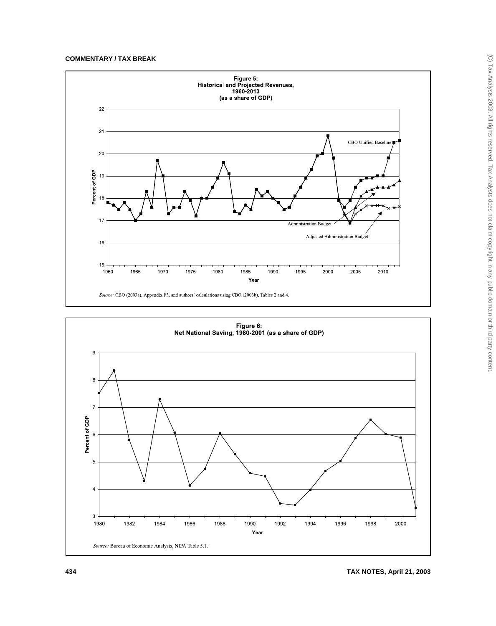

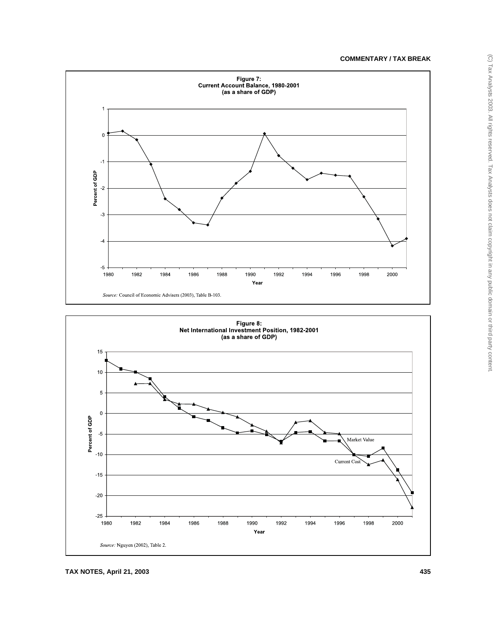



**TAX NOTES, April 21, 2003 435**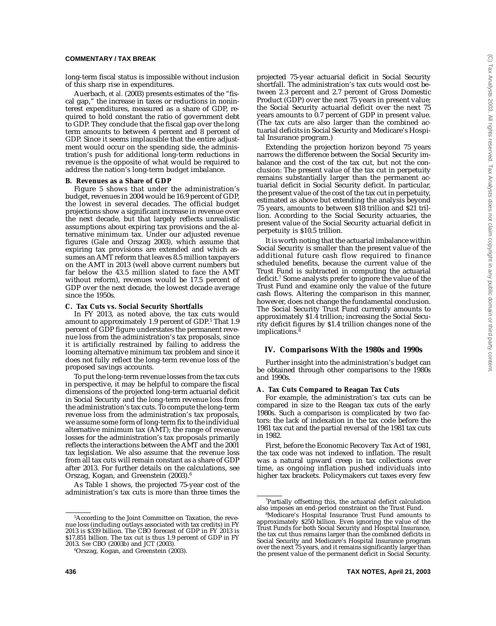long-term fiscal status is impossible without inclusion of this sharp rise in expenditures.

Auerbach, *et al.* (2003) presents estimates of the "fiscal gap," the increase in taxes or reductions in noninterest expenditures, measured as a share of GDP, required to hold constant the ratio of government debt to GDP. They conclude that the fiscal gap over the long term amounts to between 4 percent and 8 percent of GDP. Since it seems implausible that the entire adjustment would occur on the spending side, the administration's push for additional long-term reductions in revenue is the opposite of what would be required to address the nation's long-term budget imbalance.

#### **B. Revenues as a Share of GDP**

Figure 5 shows that under the administration's budget, revenues in 2004 would be 16.9 percent of GDP, the lowest in several decades. The official budget projections show a significant increase in revenue over the next decade, but that largely reflects unrealistic assumptions about expiring tax provisions and the alternative minimum tax. Under our adjusted revenue figures (Gale and Orszag 2003), which assume that expiring tax provisions are extended and which assumes an AMT reform that leaves 8.5 million taxpayers on the AMT in 2013 (well above current numbers but far below the 43.5 million slated to face the AMT without reform), revenues would be 17.5 percent of GDP over the next decade, the lowest decade average since the 1950s.

#### **C. Tax Cuts vs. Social Security Shortfalls**

In FY 2013, as noted above, the tax cuts would amount to approximately 1.9 percent of GDP.<sup>5</sup> That 1.9 percent of GDP figure understates the permanent revenue loss from the administration's tax proposals, since it is artificially restrained by failing to address the looming alternative minimum tax problem and since it does not fully reflect the long-term revenue loss of the proposed savings accounts.

To put the long-term revenue losses from the tax cuts in perspective, it may be helpful to compare the fiscal dimensions of the projected long-term actuarial deficit in Social Security and the long-term revenue loss from the administration's tax cuts. To compute the long-term revenue loss from the administration's tax proposals, we assume some form of long-term fix to the individual alternative minimum tax (AMT); the range of revenue losses for the administration's tax proposals primarily reflects the interactions between the AMT and the 2001 tax legislation. We also assume that the revenue loss from all tax cuts will remain constant as a share of GDP after 2013. For further details on the calculations, see Orszag, Kogan, and Greenstein (2003).<sup>6</sup>

As Table 1 shows, the projected 75-year cost of the administration's tax cuts is more than three times the projected 75-year actuarial deficit in Social Security shortfall. The administration's tax cuts would cost between 2.3 percent and 2.7 percent of Gross Domestic Product (GDP) over the next 75 years in present value; the Social Security actuarial deficit over the next 75 years amounts to 0.7 percent of GDP in present value. (The tax cuts are also larger than the combined actuarial deficits in Social Security and Medicare's Hospital Insurance program.)

Extending the projection horizon beyond 75 years narrows the difference between the Social Security imbalance and the cost of the tax cut, but not the conclusion: The present value of the tax cut in perpetuity remains substantially larger than the permanent actuarial deficit in Social Security deficit. In particular, the present value of the cost of the tax cut in perpetuity, estimated as above but extending the analysis beyond 75 years, amounts to between \$18 trillion and \$21 trillion. According to the Social Security actuaries, the present value of the Social Security actuarial deficit in perpetuity is \$10.5 trillion.

It is worth noting that the actuarial imbalance within Social Security is smaller than the present value of the additional future cash flow required to finance scheduled benefits, because the current value of the Trust Fund is subtracted in computing the actuarial deficit.7 Some analysts prefer to ignore the value of the Trust Fund and examine only the value of the future cash flows. Altering the comparison in this manner, however, does not change the fundamental conclusion. The Social Security Trust Fund currently amounts to approximately \$1.4 trillion; increasing the Social Security deficit figures by \$1.4 trillion changes none of the  $implications.<sup>8</sup>$ 

#### **IV. Comparisons With the 1980s and 1990s**

Further insight into the administration's budget can be obtained through other comparisons to the 1980s and 1990s.

#### **A. Tax Cuts Compared to Reagan Tax Cuts**

For example, the administration's tax cuts can be compared in size to the Reagan tax cuts of the early 1980s. Such a comparison is complicated by two factors: the lack of indexation in the tax code before the 1981 tax cut and the partial reversal of the 1981 tax cuts in 1982.

First, before the Economic Recovery Tax Act of 1981, the tax code was not indexed to inflation. The result was a natural upward creep in tax collections over time, as ongoing inflation pushed individuals into higher tax brackets. Policymakers cut taxes every few

<sup>5</sup> According to the Joint Committee on Taxation, the revenue loss (including outlays associated with tax credits) in FY 2013 is \$339 billion. The CBO forecast of GDP in FY 2013 is \$17,851 billion. The tax cut is thus 1.9 percent of GDP in FY 2013. *See* CBO (2003b) and JCT (2003).

<sup>6</sup> Orszag, Kogan, and Greenstein (2003).

<sup>7</sup> Partially offsetting this, the actuarial deficit calculation also imposes an end-period constraint on the Trust Fund.

<sup>8</sup> Medicare's Hospital Insurance Trust Fund amounts to approximately \$250 billion. Even ignoring the value of the Trust Funds for both Social Security and Hospital Insurance, the tax cut thus remains larger than the combined deficits in Social Security and Medicare's Hospital Insurance program over the next  $75$  years, and it remains significantly larger than the present value of the permanent deficit in Social Security.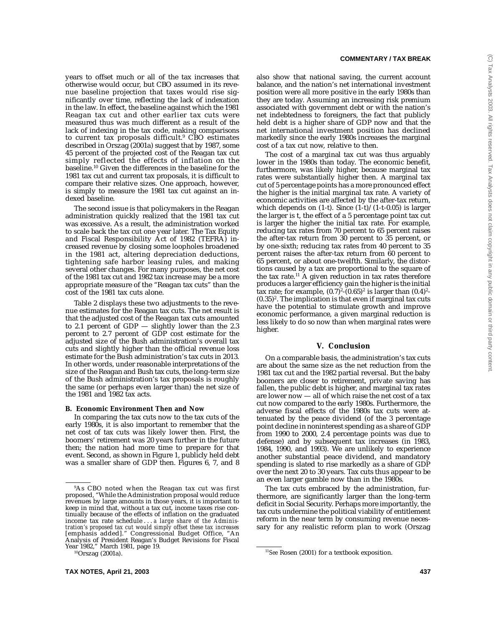years to offset much or all of the tax increases that otherwise would occur, but CBO assumed in its revenue baseline projection that taxes would rise significantly over time, reflecting the lack of indexation in the law. In effect, the baseline against which the 1981 Reagan tax cut and other earlier tax cuts were measured thus was much different as a result of the lack of indexing in the tax code, making comparisons to current tax proposals difficult.<sup>9</sup> CBO estimates described in Orszag (2001a) suggest that by 1987, some 45 percent of the projected cost of the Reagan tax cut simply reflected the effects of inflation on the baseline.10 Given the differences in the baseline for the 1981 tax cut and current tax proposals, it is difficult to compare their relative sizes. One approach, however, is simply to measure the 1981 tax cut against an indexed baseline.

The second issue is that policymakers in the Reagan administration quickly realized that the 1981 tax cut was excessive. As a result, the administration worked to scale back the tax cut one year later. The Tax Equity and Fiscal Responsibility Act of 1982 (TEFRA) increased revenue by closing some loopholes broadened in the 1981 act, altering depreciation deductions, tightening safe harbor leasing rules, and making several other changes. For many purposes, the net cost of the 1981 tax cut and 1982 tax increase may be a more appropriate measure of the "Reagan tax cuts" than the cost of the 1981 tax cuts alone.

Table 2 displays these two adjustments to the revenue estimates for the Reagan tax cuts. The net result is that the adjusted cost of the Reagan tax cuts amounted to 2.1 percent of GDP — slightly lower than the 2.3 percent to 2.7 percent of GDP cost estimate for the adjusted size of the Bush administration's overall tax cuts and slightly higher than the official revenue loss estimate for the Bush administration's tax cuts in 2013. In other words, under reasonable interpretations of the size of the Reagan and Bush tax cuts, the long-term size of the Bush administration's tax proposals is roughly the same (or perhaps even larger than) the net size of the 1981 and 1982 tax acts.

#### **B. Economic Environment Then and Now**

In comparing the tax cuts now to the tax cuts of the early 1980s, it is also important to remember that the net cost of tax cuts was likely lower then. First, the boomers' retirement was 20 years further in the future then; the nation had more time to prepare for that event. Second, as shown in Figure 1, publicly held debt was a smaller share of GDP then. Figures 6, 7, and 8

#### **COMMENTARY / TAX BREAK**

also show that national saving, the current account balance, and the nation's net international investment position were all more positive in the early 1980s than they are today. Assuming an increasing risk premium associated with government debt or with the nation's net indebtedness to foreigners, the fact that publicly held debt is a higher share of GDP now and that the net international investment position has declined markedly since the early 1980s increases the marginal cost of a tax cut now, relative to then.

The cost of a marginal tax cut was thus arguably lower in the 1980s than today. The economic benefit, furthermore, was likely higher, because marginal tax rates were substantially higher then. A marginal tax cut of 5 percentage points has a more pronounced effect the higher is the initial marginal tax rate. A variety of economic activities are affected by the after-tax return, which depends on  $(1-t)$ . Since  $(1-t)/(1-t-0.05)$  is larger the larger is t, the effect of a 5 percentage point tax cut is larger the higher the initial tax rate. For example, reducing tax rates from 70 percent to 65 percent raises the after-tax return from 30 percent to 35 percent, or by one-sixth; reducing tax rates from 40 percent to 35 percent raises the after-tax return from 60 percent to 65 percent, or about one-twelfth. Similarly, the distortions caused by a tax are proportional to the square of the tax rate.<sup>11</sup> A given reduction in tax rates therefore produces a larger efficiency gain the higher is the initial tax rate; for example,  $(0.7)^2$ - $(0.65)^2$  is larger than  $(0.4)^2$ - $(0.35)^2$ . The implication is that even if marginal tax cuts have the potential to stimulate growth and improve economic performance, a given marginal reduction is less likely to do so now than when marginal rates were higher.

#### **V. Conclusion**

On a comparable basis, the administration's tax cuts are about the same size as the net reduction from the 1981 tax cut and the 1982 partial reversal. But the baby boomers are closer to retirement, private saving has fallen, the public debt is higher, and marginal tax rates are lower now — all of which raise the net cost of a tax cut now compared to the early 1980s. Furthermore, the adverse fiscal effects of the 1980s tax cuts were attenuated by the peace dividend (of the 3 percentage point decline in noninterest spending as a share of GDP from 1990 to 2000, 2.4 percentage points was due to defense) and by subsequent tax increases (in 1983, 1984, 1990, and 1993). We are unlikely to experience another substantial peace dividend, and mandatory spending is slated to rise markedly as a share of GDP over the next 20 to 30 years. Tax cuts thus appear to be an even larger gamble now than in the 1980s.

The tax cuts embraced by the administration, furthermore, are significantly larger than the long-term deficit in Social Security. Perhaps more importantly, the tax cuts undermine the political viability of entitlement reform in the near term by consuming revenue necessary for any realistic reform plan to work (Orszag

<sup>9</sup> As CBO noted when the Reagan tax cut was first proposed, "While the Administration proposal would reduce revenues by large amounts in those years, it is important to keep in mind that, without a tax cut, income taxes rise continually because of the effects of inflation on the graduated income tax rate schedule . . . *a large share of the Administration's proposed tax cut would simply offset these tax increases* [emphasis added]." Congressional Budget Office, "An Analysis of President Reagan's Budget Revisions for Fiscal Year 1982," March 1981, page 19.<br><sup>10</sup>Orszag (2001a).

<sup>&</sup>lt;sup>11</sup>See Rosen (2001) for a textbook exposition.